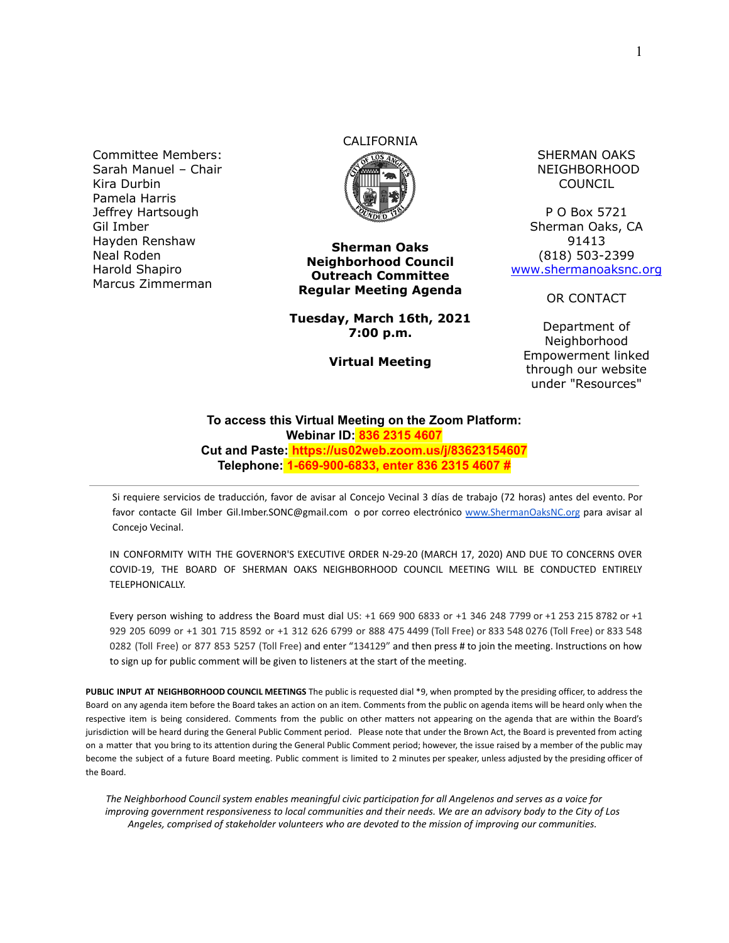Committee Members: Sarah Manuel – Chair Kira Durbin Pamela Harris Jeffrey Hartsough Gil Imber Hayden Renshaw Neal Roden Harold Shapiro Marcus Zimmerman

# CALIFORNIA



**Sherman Oaks Neighborhood Council Outreach Committee Regular Meeting Agenda**

**Tuesday, March 16th, 2021 7:00 p.m.**

**Virtual Meeting**

SHERMAN OAKS NEIGHBORHOOD COUNCIL

P O Box 5721 Sherman Oaks, CA 91413 (818) 503-2399 [www.shermanoaksnc.org](http://www.shermanoaksnc.org/)

OR CONTACT

Department of Neighborhood Empowerment linked through our website under "Resources"

#### **To access this Virtual Meeting on the Zoom Platform: Webinar ID: 836 2315 4607 Cut and Paste: https://us02web.zoom.us/j/83623154607 Telephone: 1-669-900-6833, enter 836 2315 4607 #**

Si requiere servicios de traducción, favor de avisar al Concejo Vecinal 3 días de trabajo (72 horas) antes del evento. Por favor contacte Gil Imber Gil.Imber.SONC@gmail.com o por correo electrónico [www.ShermanOaksNC.org](http://www.shermanoaksnc.org) para avisar al Concejo Vecinal.

IN CONFORMITY WITH THE GOVERNOR'S EXECUTIVE ORDER N-29-20 (MARCH 17, 2020) AND DUE TO CONCERNS OVER COVID-19, THE BOARD OF SHERMAN OAKS NEIGHBORHOOD COUNCIL MEETING WILL BE CONDUCTED ENTIRELY TELEPHONICALLY.

Every person wishing to address the Board must dial US: +1 669 900 6833 or +1 346 248 7799 or +1 253 215 8782 or +1 929 205 6099 or +1 301 715 8592 or +1 312 626 6799 or 888 475 4499 (Toll Free) or 833 548 0276 (Toll Free) or 833 548 0282 (Toll Free) or 877 853 5257 (Toll Free) and enter "134129" and then press # to join the meeting. Instructions on how to sign up for public comment will be given to listeners at the start of the meeting.

**PUBLIC INPUT AT NEIGHBORHOOD COUNCIL MEETINGS** The public is requested dial \*9, when prompted by the presiding officer, to address the Board on any agenda item before the Board takes an action on an item. Comments from the public on agenda items will be heard only when the respective item is being considered. Comments from the public on other matters not appearing on the agenda that are within the Board's jurisdiction will be heard during the General Public Comment period. Please note that under the Brown Act, the Board is prevented from acting on a matter that you bring to its attention during the General Public Comment period; however, the issue raised by a member of the public may become the subject of a future Board meeting. Public comment is limited to 2 minutes per speaker, unless adjusted by the presiding officer of the Board.

*The Neighborhood Council system enables meaningful civic participation for all Angelenos and serves as a voice for improving government responsiveness to local communities and their needs. We are an advisory body to the City of Los Angeles, comprised of stakeholder volunteers who are devoted to the mission of improving our communities.*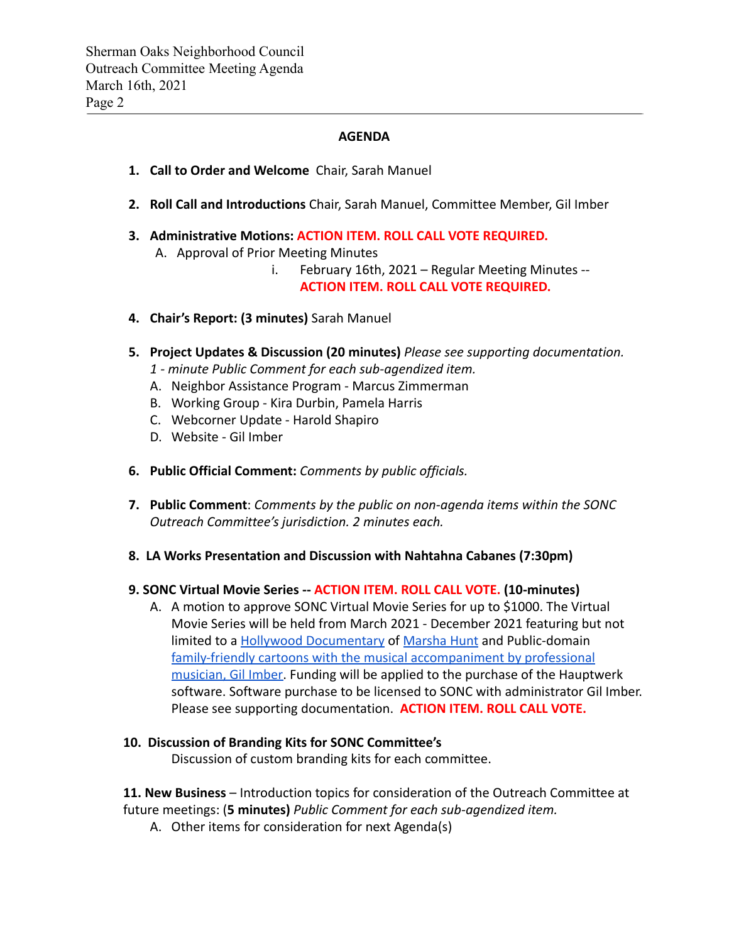### **AGENDA**

- **1. Call to Order and Welcome** Chair, Sarah Manuel
- **2. Roll Call and Introductions** Chair, Sarah Manuel, Committee Member, Gil Imber
- **3. Administrative Motions: ACTION ITEM. ROLL CALL VOTE REQUIRED.** A. Approval of Prior Meeting Minutes
	- i. February 16th, 2021 Regular Meeting Minutes -- **ACTION ITEM. ROLL CALL VOTE REQUIRED.**
- **4. Chair's Report: (3 minutes)** Sarah Manuel
- **5. Project Updates & Discussion (20 minutes)** *Please see supporting documentation.*
	- *1 minute Public Comment for each sub-agendized item.*
	- A. Neighbor Assistance Program Marcus Zimmerman
	- B. Working Group Kira Durbin, Pamela Harris
	- C. Webcorner Update Harold Shapiro
	- D. Website Gil Imber
- **6. Public Official Comment:** *Comments by public officials.*
- **7. Public Comment**: *Comments by the public on non-agenda items within the SONC Outreach Committee's jurisdiction. 2 minutes each.*
- **8. LA Works Presentation and Discussion with Nahtahna Cabanes (7:30pm)**

#### **9. SONC Virtual Movie Series -- ACTION ITEM. ROLL CALL VOTE. (10-minutes)**

A. A motion to approve SONC Virtual Movie Series for up to \$1000. The Virtual Movie Series will be held from March 2021 - December 2021 featuring but not limited to a [Hollywood Documentary](https://www.youtube.com/watch?v=xZ6T-qlO7w4) of [Marsha Hunt](https://www.imdb.com/name/nm0402554/bio) and Public-domain [family-friendly cartoons with the musical accompaniment](https://youtu.be/vrODRjLJjuY) by professional [musician, Gil Imber.](https://youtu.be/vrODRjLJjuY) Funding will be applied to the purchase of the Hauptwerk software. Software purchase to be licensed to SONC with administrator Gil Imber. Please see supporting documentation. **ACTION ITEM. ROLL CALL VOTE.**

## **10. Discussion of Branding Kits for SONC Committee's**

Discussion of custom branding kits for each committee.

**11. New Business** – Introduction topics for consideration of the Outreach Committee at future meetings: (**5 minutes)** *Public Comment for each sub-agendized item.*

A. Other items for consideration for next Agenda(s)